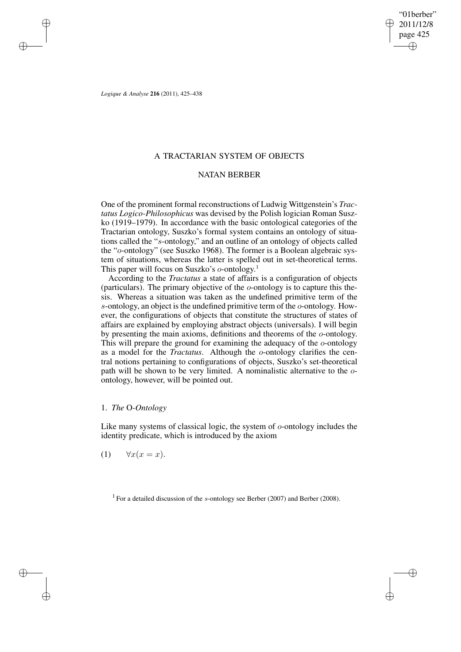✐

*Logique & Analyse* **216** (2011), 425–438

✐

✐

✐

✐

## A TRACTARIAN SYSTEM OF OBJECTS

### NATAN BERBER

One of the prominent formal reconstructions of Ludwig Wittgenstein's *Tractatus Logico-Philosophicus* was devised by the Polish logician Roman Suszko (1919–1979). In accordance with the basic ontological categories of the Tractarian ontology, Suszko's formal system contains an ontology of situations called the "s-ontology," and an outline of an ontology of objects called the "o-ontology" (see Suszko 1968). The former is a Boolean algebraic system of situations, whereas the latter is spelled out in set-theoretical terms. This paper will focus on Suszko's o-ontology.<sup>1</sup>

According to the *Tractatus* a state of affairs is a configuration of objects (particulars). The primary objective of the o-ontology is to capture this thesis. Whereas a situation was taken as the undefined primitive term of the s-ontology, an object is the undefined primitive term of the o-ontology. However, the configurations of objects that constitute the structures of states of affairs are explained by employing abstract objects (universals). I will begin by presenting the main axioms, definitions and theorems of the o-ontology. This will prepare the ground for examining the adequacy of the o-ontology as a model for the *Tractatus*. Although the o-ontology clarifies the central notions pertaining to configurations of objects, Suszko's set-theoretical path will be shown to be very limited. A nominalistic alternative to the oontology, however, will be pointed out.

### 1. *The* O*-Ontology*

Like many systems of classical logic, the system of o-ontology includes the identity predicate, which is introduced by the axiom

(1)  $\forall x(x=x)$ .

<sup>1</sup> For a detailed discussion of the s-ontology see Berber (2007) and Berber (2008).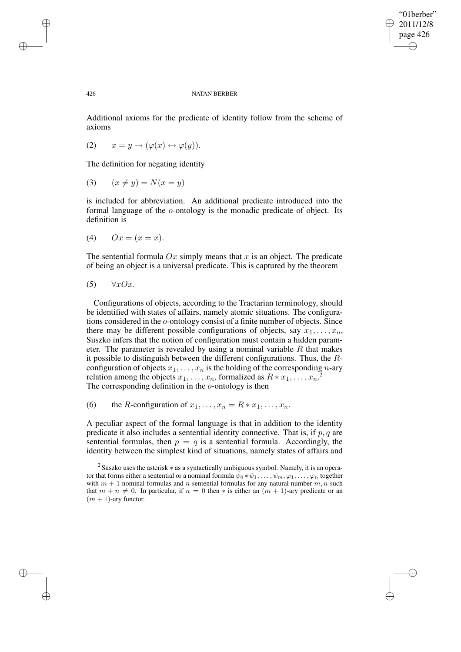✐

### 426 NATAN BERBER

Additional axioms for the predicate of identity follow from the scheme of axioms

(2)  $x = y \rightarrow (\varphi(x) \leftrightarrow \varphi(y)).$ 

The definition for negating identity

(3)  $(x \neq y) = N(x = y)$ 

is included for abbreviation. An additional predicate introduced into the formal language of the o-ontology is the monadic predicate of object. Its definition is

$$
(4) \qquad Ox = (x = x).
$$

The sentential formula  $Ox$  simply means that x is an object. The predicate of being an object is a universal predicate. This is captured by the theorem

$$
(5) \qquad \forall xOx.
$$

Configurations of objects, according to the Tractarian terminology, should be identified with states of affairs, namely atomic situations. The configurations considered in the o-ontology consist of a finite number of objects. Since there may be different possible configurations of objects, say  $x_1, \ldots, x_n$ , Suszko infers that the notion of configuration must contain a hidden parameter. The parameter is revealed by using a nominal variable  $R$  that makes it possible to distinguish between the different configurations. Thus, the Rconfiguration of objects  $x_1, \ldots, x_n$  is the holding of the corresponding *n*-ary relation among the objects  $x_1, \ldots, x_n$ , formalized as  $R * x_1, \ldots, x_n$ .<sup>2</sup> The corresponding definition in the  $o$ -ontology is then

(6) the R-configuration of  $x_1, \ldots, x_n = R * x_1, \ldots, x_n$ .

A peculiar aspect of the formal language is that in addition to the identity predicate it also includes a sentential identity connective. That is, if  $p, q$  are sentential formulas, then  $p = q$  is a sentential formula. Accordingly, the identity between the simplest kind of situations, namely states of affairs and

✐

✐

✐

<sup>&</sup>lt;sup>2</sup> Suszko uses the asterisk  $*$  as a syntactically ambiguous symbol. Namely, it is an operator that forms either a sentential or a nominal formula  $\psi_0 * \psi_1, \dots, \psi_m, \varphi_1, \dots, \varphi_n$  together with  $m + 1$  nominal formulas and n sentential formulas for any natural number  $m, n$  such that  $m + n \neq 0$ . In particular, if  $n = 0$  then  $*$  is either an  $(m + 1)$ -ary predicate or an  $(m + 1)$ -ary functor.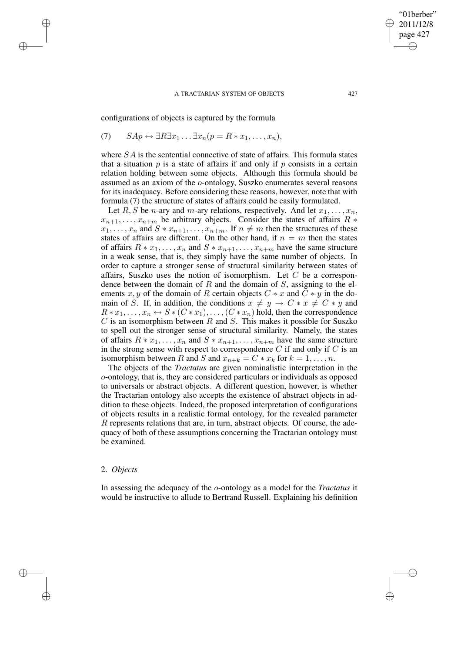configurations of objects is captured by the formula

✐

✐

✐

✐

(7) 
$$
SAp \leftrightarrow \exists R \exists x_1 \dots \exists x_n (p = R * x_1, \dots, x_n),
$$

where SA is the sentential connective of state of affairs. This formula states that a situation  $p$  is a state of affairs if and only if  $p$  consists in a certain relation holding between some objects. Although this formula should be assumed as an axiom of the o-ontology, Suszko enumerates several reasons for its inadequacy. Before considering these reasons, however, note that with formula (7) the structure of states of affairs could be easily formulated.

Let R, S be n-ary and m-ary relations, respectively. And let  $x_1, \ldots, x_n$ ,  $x_{n+1}, \ldots, x_{n+m}$  be arbitrary objects. Consider the states of affairs  $R \ast$  $x_1, \ldots, x_n$  and  $S * x_{n+1}, \ldots, x_{n+m}$ . If  $n \neq m$  then the structures of these states of affairs are different. On the other hand, if  $n = m$  then the states of affairs  $R * x_1, \ldots, x_n$  and  $S * x_{n+1}, \ldots, x_{n+m}$  have the same structure in a weak sense, that is, they simply have the same number of objects. In order to capture a stronger sense of structural similarity between states of affairs, Suszko uses the notion of isomorphism. Let  $C$  be a correspondence between the domain of R and the domain of S, assigning to the elements x, y of the domain of R certain objects  $C * x$  and  $\overline{C} * y$  in the domain of S. If, in addition, the conditions  $x \neq y \rightarrow C \ast x \neq C \ast y$  and  $R * x_1, \ldots, x_n \leftrightarrow S * (C * x_1), \ldots, (C * x_n)$  hold, then the correspondence  $C$  is an isomorphism between  $R$  and  $S$ . This makes it possible for Suszko to spell out the stronger sense of structural similarity. Namely, the states of affairs  $R * x_1, \ldots, x_n$  and  $S * x_{n+1}, \ldots, x_{n+m}$  have the same structure in the strong sense with respect to correspondence  $C$  if and only if  $C$  is an isomorphism between R and S and  $x_{n+k} = C * x_k$  for  $k = 1, ..., n$ .

The objects of the *Tractatus* are given nominalistic interpretation in the o-ontology, that is, they are considered particulars or individuals as opposed to universals or abstract objects. A different question, however, is whether the Tractarian ontology also accepts the existence of abstract objects in addition to these objects. Indeed, the proposed interpretation of configurations of objects results in a realistic formal ontology, for the revealed parameter R represents relations that are, in turn, abstract objects. Of course, the adequacy of both of these assumptions concerning the Tractarian ontology must be examined.

### 2. *Objects*

In assessing the adequacy of the o-ontology as a model for the *Tractatus* it would be instructive to allude to Bertrand Russell. Explaining his definition

"01berber" 2011/12/8 page 427

✐

✐

✐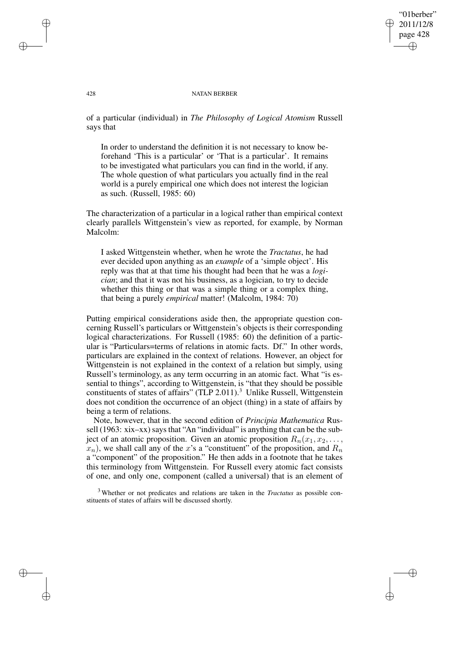### "01berber" 2011/12/8 page 428 ✐ ✐

✐

✐

#### 428 NATAN BERBER

of a particular (individual) in *The Philosophy of Logical Atomism* Russell says that

In order to understand the definition it is not necessary to know beforehand 'This is a particular' or 'That is a particular'. It remains to be investigated what particulars you can find in the world, if any. The whole question of what particulars you actually find in the real world is a purely empirical one which does not interest the logician as such. (Russell, 1985: 60)

The characterization of a particular in a logical rather than empirical context clearly parallels Wittgenstein's view as reported, for example, by Norman Malcolm:

I asked Wittgenstein whether, when he wrote the *Tractatus*, he had ever decided upon anything as an *example* of a 'simple object'. His reply was that at that time his thought had been that he was a *logician*; and that it was not his business, as a logician, to try to decide whether this thing or that was a simple thing or a complex thing, that being a purely *empirical* matter! (Malcolm, 1984: 70)

Putting empirical considerations aside then, the appropriate question concerning Russell's particulars or Wittgenstein's objects is their corresponding logical characterizations. For Russell (1985: 60) the definition of a particular is "Particulars=terms of relations in atomic facts. Df." In other words, particulars are explained in the context of relations. However, an object for Wittgenstein is not explained in the context of a relation but simply, using Russell's terminology, as any term occurring in an atomic fact. What "is essential to things", according to Wittgenstein, is "that they should be possible constituents of states of affairs" (TLP 2.011).<sup>3</sup> Unlike Russell, Wittgenstein does not condition the occurrence of an object (thing) in a state of affairs by being a term of relations.

Note, however, that in the second edition of *Principia Mathematica* Russell (1963: xix–xx) says that "An "individual" is anything that can be the subject of an atomic proposition. Given an atomic proposition  $R_n(x_1, x_2, \ldots, x_n)$  $x_n$ ), we shall call any of the x's a "constituent" of the proposition, and  $R_n$ a "component" of the proposition." He then adds in a footnote that he takes this terminology from Wittgenstein. For Russell every atomic fact consists of one, and only one, component (called a universal) that is an element of

<sup>3</sup> Whether or not predicates and relations are taken in the *Tractatus* as possible constituents of states of affairs will be discussed shortly.

✐

✐

✐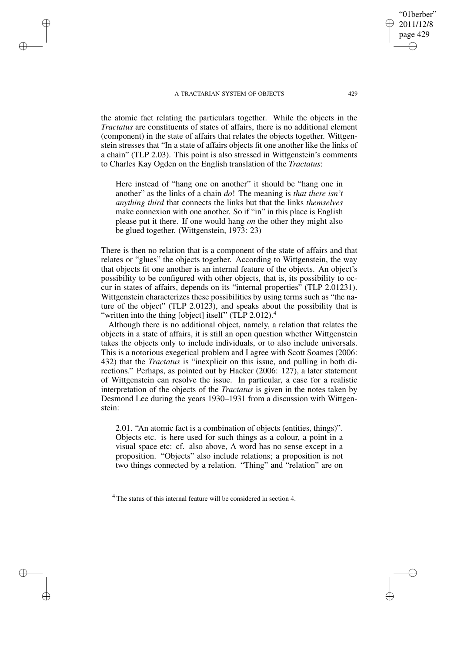✐

✐

✐

✐

the atomic fact relating the particulars together. While the objects in the *Tractatus* are constituents of states of affairs, there is no additional element (component) in the state of affairs that relates the objects together. Wittgenstein stresses that "In a state of affairs objects fit one another like the links of a chain" (TLP 2.03). This point is also stressed in Wittgenstein's comments to Charles Kay Ogden on the English translation of the *Tractatus*:

Here instead of "hang one on another" it should be "hang one in another" as the links of a chain *do*! The meaning is *that there isn't anything third* that connects the links but that the links *themselves* make connexion with one another. So if "in" in this place is English please put it there. If one would hang *on* the other they might also be glued together. (Wittgenstein, 1973: 23)

There is then no relation that is a component of the state of affairs and that relates or "glues" the objects together. According to Wittgenstein, the way that objects fit one another is an internal feature of the objects. An object's possibility to be configured with other objects, that is, its possibility to occur in states of affairs, depends on its "internal properties" (TLP 2.01231). Wittgenstein characterizes these possibilities by using terms such as "the nature of the object" (TLP 2.0123), and speaks about the possibility that is "written into the thing [object] itself" (TLP  $2.012$ ).<sup>4</sup>

Although there is no additional object, namely, a relation that relates the objects in a state of affairs, it is still an open question whether Wittgenstein takes the objects only to include individuals, or to also include universals. This is a notorious exegetical problem and I agree with Scott Soames (2006: 432) that the *Tractatus* is "inexplicit on this issue, and pulling in both directions." Perhaps, as pointed out by Hacker (2006: 127), a later statement of Wittgenstein can resolve the issue. In particular, a case for a realistic interpretation of the objects of the *Tractatus* is given in the notes taken by Desmond Lee during the years 1930–1931 from a discussion with Wittgenstein:

2.01. "An atomic fact is a combination of objects (entities, things)". Objects etc. is here used for such things as a colour, a point in a visual space etc: cf. also above, A word has no sense except in a proposition. "Objects" also include relations; a proposition is not two things connected by a relation. "Thing" and "relation" are on

 $4$  The status of this internal feature will be considered in section 4.

"01berber" 2011/12/8 page 429

✐

✐

✐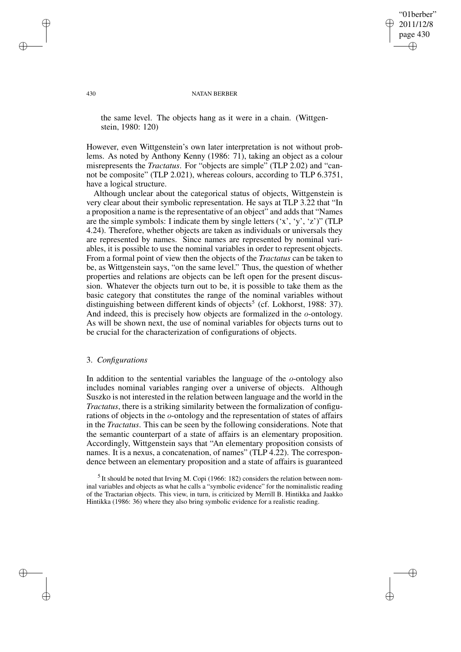"01berber" 2011/12/8 page 430 ✐ ✐

✐

✐

#### 430 NATAN BERBER

the same level. The objects hang as it were in a chain. (Wittgenstein, 1980: 120)

However, even Wittgenstein's own later interpretation is not without problems. As noted by Anthony Kenny (1986: 71), taking an object as a colour misrepresents the *Tractatus*. For "objects are simple" (TLP 2.02) and "cannot be composite" (TLP 2.021), whereas colours, according to TLP 6.3751, have a logical structure.

Although unclear about the categorical status of objects, Wittgenstein is very clear about their symbolic representation. He says at TLP 3.22 that "In a proposition a name is the representative of an object" and adds that "Names are the simple symbols: I indicate them by single letters ('x', 'y', 'z')" (TLP 4.24). Therefore, whether objects are taken as individuals or universals they are represented by names. Since names are represented by nominal variables, it is possible to use the nominal variables in order to represent objects. From a formal point of view then the objects of the *Tractatus* can be taken to be, as Wittgenstein says, "on the same level." Thus, the question of whether properties and relations are objects can be left open for the present discussion. Whatever the objects turn out to be, it is possible to take them as the basic category that constitutes the range of the nominal variables without distinguishing between different kinds of objects<sup>5</sup> (cf. Lokhorst, 1988: 37). And indeed, this is precisely how objects are formalized in the o-ontology. As will be shown next, the use of nominal variables for objects turns out to be crucial for the characterization of configurations of objects.

### 3. *Configurations*

In addition to the sentential variables the language of the o-ontology also includes nominal variables ranging over a universe of objects. Although Suszko is not interested in the relation between language and the world in the *Tractatus*, there is a striking similarity between the formalization of configurations of objects in the o-ontology and the representation of states of affairs in the *Tractatus*. This can be seen by the following considerations. Note that the semantic counterpart of a state of affairs is an elementary proposition. Accordingly, Wittgenstein says that "An elementary proposition consists of names. It is a nexus, a concatenation, of names" (TLP 4.22). The correspondence between an elementary proposition and a state of affairs is guaranteed

✐

✐

✐

 $<sup>5</sup>$  It should be noted that Irving M. Copi (1966: 182) considers the relation between nom-</sup> inal variables and objects as what he calls a "symbolic evidence" for the nominalistic reading of the Tractarian objects. This view, in turn, is criticized by Merrill B. Hintikka and Jaakko Hintikka (1986: 36) where they also bring symbolic evidence for a realistic reading.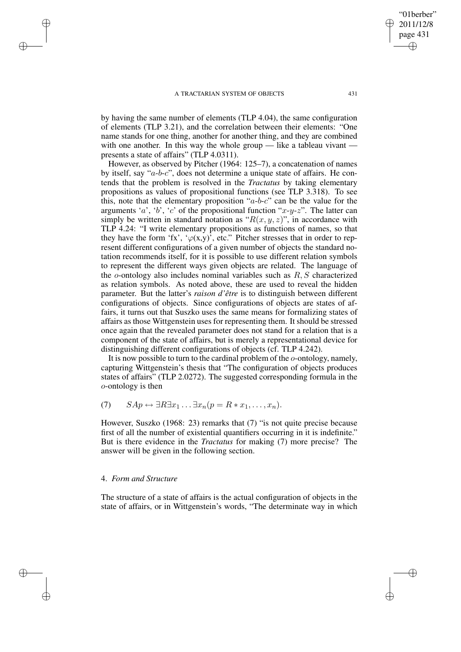by having the same number of elements (TLP 4.04), the same configuration of elements (TLP 3.21), and the correlation between their elements: "One name stands for one thing, another for another thing, and they are combined with one another. In this way the whole group  $-$  like a tableau vivant  $$ presents a state of affairs" (TLP 4.0311).

However, as observed by Pitcher (1964: 125–7), a concatenation of names by itself, say "a-b-c", does not determine a unique state of affairs. He contends that the problem is resolved in the *Tractatus* by taking elementary propositions as values of propositional functions (see TLP 3.318). To see this, note that the elementary proposition " $a-b-c$ " can be the value for the arguments 'a', 'b', 'c' of the propositional function " $x-y-z$ ". The latter can simply be written in standard notation as " $R(x, y, z)$ ", in accordance with TLP 4.24: "I write elementary propositions as functions of names, so that they have the form 'fx', ' $\varphi(x,y)$ ', etc." Pitcher stresses that in order to represent different configurations of a given number of objects the standard notation recommends itself, for it is possible to use different relation symbols to represent the different ways given objects are related. The language of the  $o$ -ontology also includes nominal variables such as  $R, S$  characterized as relation symbols. As noted above, these are used to reveal the hidden parameter. But the latter's *raison d'être* is to distinguish between different configurations of objects. Since configurations of objects are states of affairs, it turns out that Suszko uses the same means for formalizing states of affairs as those Wittgenstein uses for representing them. It should be stressed once again that the revealed parameter does not stand for a relation that is a component of the state of affairs, but is merely a representational device for distinguishing different configurations of objects (cf. TLP 4.242).

It is now possible to turn to the cardinal problem of the  $o$ -ontology, namely, capturing Wittgenstein's thesis that "The configuration of objects produces states of affairs" (TLP 2.0272). The suggested corresponding formula in the  $o$ -ontology is then

(7)  $SAp \leftrightarrow \exists R \exists x_1 \dots \exists x_n (p = R * x_1, \dots, x_n).$ 

However, Suszko (1968: 23) remarks that (7) "is not quite precise because first of all the number of existential quantifiers occurring in it is indefinite." But is there evidence in the *Tractatus* for making (7) more precise? The answer will be given in the following section.

### 4. *Form and Structure*

✐

✐

✐

✐

The structure of a state of affairs is the actual configuration of objects in the state of affairs, or in Wittgenstein's words, "The determinate way in which

"01berber" 2011/12/8 page 431

✐

✐

✐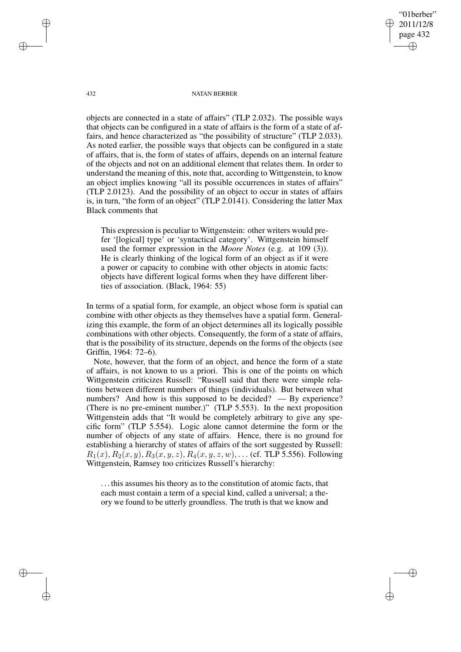"01berber" 2011/12/8 page 432 ✐ ✐

✐

✐

432 NATAN BERBER

objects are connected in a state of affairs" (TLP 2.032). The possible ways that objects can be configured in a state of affairs is the form of a state of affairs, and hence characterized as "the possibility of structure" (TLP 2.033). As noted earlier, the possible ways that objects can be configured in a state of affairs, that is, the form of states of affairs, depends on an internal feature of the objects and not on an additional element that relates them. In order to understand the meaning of this, note that, according to Wittgenstein, to know an object implies knowing "all its possible occurrences in states of affairs" (TLP 2.0123). And the possibility of an object to occur in states of affairs is, in turn, "the form of an object" (TLP 2.0141). Considering the latter Max Black comments that

This expression is peculiar to Wittgenstein: other writers would prefer '[logical] type' or 'syntactical category'. Wittgenstein himself used the former expression in the *Moore Notes* (e.g. at 109 (3)). He is clearly thinking of the logical form of an object as if it were a power or capacity to combine with other objects in atomic facts: objects have different logical forms when they have different liberties of association. (Black, 1964: 55)

In terms of a spatial form, for example, an object whose form is spatial can combine with other objects as they themselves have a spatial form. Generalizing this example, the form of an object determines all its logically possible combinations with other objects. Consequently, the form of a state of affairs, that is the possibility of its structure, depends on the forms of the objects (see Griffin, 1964: 72–6).

Note, however, that the form of an object, and hence the form of a state of affairs, is not known to us a priori. This is one of the points on which Wittgenstein criticizes Russell: "Russell said that there were simple relations between different numbers of things (individuals). But between what numbers? And how is this supposed to be decided?  $-$  By experience? (There is no pre-eminent number.)" (TLP 5.553). In the next proposition Wittgenstein adds that "It would be completely arbitrary to give any specific form" (TLP 5.554). Logic alone cannot determine the form or the number of objects of any state of affairs. Hence, there is no ground for establishing a hierarchy of states of affairs of the sort suggested by Russell:  $R_1(x), R_2(x, y), R_3(x, y, z), R_4(x, y, z, w), \ldots$  (cf. TLP 5.556). Following Wittgenstein, Ramsey too criticizes Russell's hierarchy:

. . . this assumes his theory as to the constitution of atomic facts, that each must contain a term of a special kind, called a universal; a theory we found to be utterly groundless. The truth is that we know and

✐

✐

✐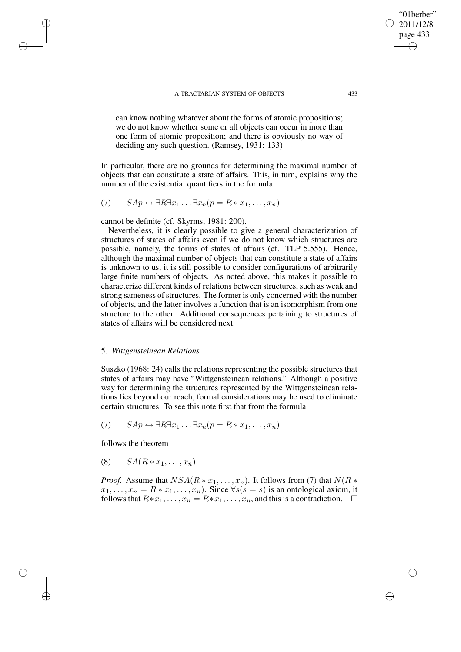can know nothing whatever about the forms of atomic propositions; we do not know whether some or all objects can occur in more than one form of atomic proposition; and there is obviously no way of deciding any such question. (Ramsey, 1931: 133)

In particular, there are no grounds for determining the maximal number of objects that can constitute a state of affairs. This, in turn, explains why the number of the existential quantifiers in the formula

$$
(7) \qquad SAp \leftrightarrow \exists R \exists x_1 \dots \exists x_n (p = R * x_1, \dots, x_n)
$$

cannot be definite (cf. Skyrms, 1981: 200).

✐

✐

✐

✐

Nevertheless, it is clearly possible to give a general characterization of structures of states of affairs even if we do not know which structures are possible, namely, the forms of states of affairs (cf. TLP 5.555). Hence, although the maximal number of objects that can constitute a state of affairs is unknown to us, it is still possible to consider configurations of arbitrarily large finite numbers of objects. As noted above, this makes it possible to characterize different kinds of relations between structures, such as weak and strong sameness of structures. The former is only concerned with the number of objects, and the latter involves a function that is an isomorphism from one structure to the other. Additional consequences pertaining to structures of states of affairs will be considered next.

### 5. *Wittgensteinean Relations*

Suszko (1968: 24) calls the relations representing the possible structures that states of affairs may have "Wittgensteinean relations." Although a positive way for determining the structures represented by the Wittgensteinean relations lies beyond our reach, formal considerations may be used to eliminate certain structures. To see this note first that from the formula

$$
(7) \qquad SAp \leftrightarrow \exists R \exists x_1 \ldots \exists x_n (p = R * x_1, \ldots, x_n)
$$

follows the theorem

$$
(8) \qquad SA(R*x_1,\ldots,x_n).
$$

*Proof.* Assume that  $NSA(R * x_1, \ldots, x_n)$ . It follows from (7) that  $N(R * x_1, \ldots, x_n)$  $x_1, \ldots, x_n = R * x_1, \ldots, x_n$ . Since  $\forall s(s = s)$  is an ontological axiom, it follows that  $R*x_1, \ldots, x_n = R*x_1, \ldots, x_n$ , and this is a contradiction.  $\Box$ 

"01berber" 2011/12/8 page 433

✐

✐

✐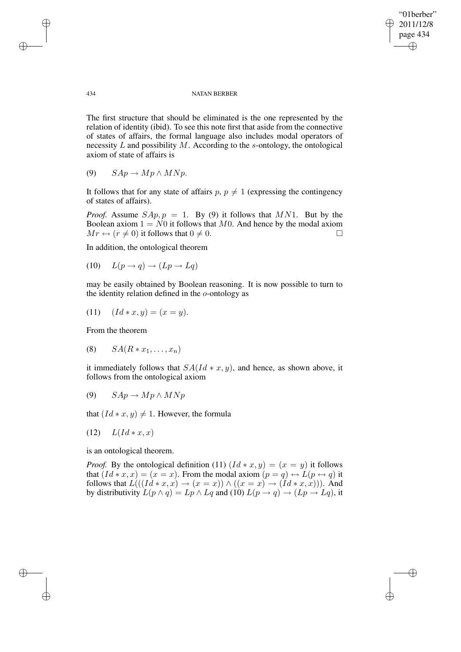✐

#### 434 NATAN BERBER

The first structure that should be eliminated is the one represented by the relation of identity (ibid). To see this note first that aside from the connective of states of affairs, the formal language also includes modal operators of necessity  $L$  and possibility  $M$ . According to the s-ontology, the ontological axiom of state of affairs is

$$
(9) \qquad SAp \to Mp \wedge M Np.
$$

It follows that for any state of affairs  $p, p \neq 1$  (expressing the contingency of states of affairs).

*Proof.* Assume  $SAp, p = 1$ . By (9) it follows that MN1. But by the Boolean axiom  $1 = N0$  it follows that M0. And hence by the modal axiom  $Mr \leftrightarrow (r \neq 0)$  it follows that  $0 \neq 0$ .

In addition, the ontological theorem

$$
(10) \quad L(p \to q) \to (Lp \to Lq)
$$

may be easily obtained by Boolean reasoning. It is now possible to turn to the identity relation defined in the o-ontology as

(11) 
$$
(Id * x, y) = (x = y).
$$

From the theorem

$$
(8) \qquad SA(R*x_1,\ldots,x_n)
$$

it immediately follows that  $SA(Id * x, y)$ , and hence, as shown above, it follows from the ontological axiom

$$
(9) \qquad SAp \to Mp \wedge M Np
$$

that  $(Id * x, y) \neq 1$ . However, the formula

$$
(12) \quad L(Id*x,x)
$$

is an ontological theorem.

*Proof.* By the ontological definition (11)  $(Id * x, y) = (x = y)$  it follows that  $(Id * x, x) = (x = x)$ . From the modal axiom  $(p = q) \leftrightarrow L(p \leftrightarrow q)$  it follows that  $L(((Id * x, x) \rightarrow (x = x)) \land ((x = x) \rightarrow (Id * x, x)))$ . And by distributivity  $L(p \wedge q) = Lp \wedge Lq$  and (10)  $L(p \rightarrow q) \rightarrow (Lp \rightarrow Lq)$ , it

✐

✐

✐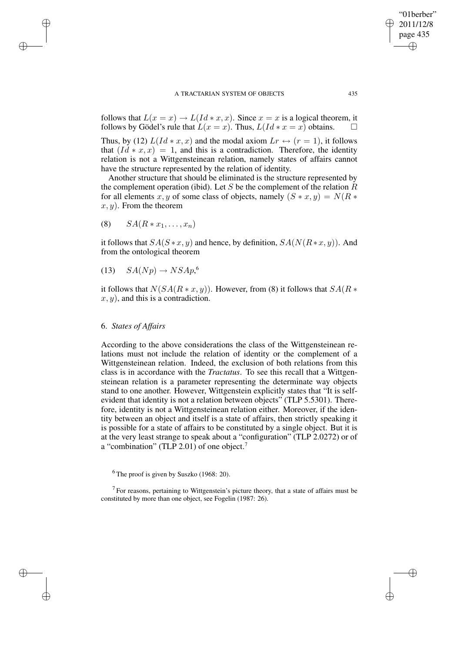follows that  $L(x = x) \rightarrow L(Id * x, x)$ . Since  $x = x$  is a logical theorem, it follows by Gödel's rule that  $L(x = x)$ . Thus,  $L(Id * x = x)$  obtains.  $\square$ 

Thus, by (12)  $L(Id * x, x)$  and the modal axiom  $Lr \leftrightarrow (r = 1)$ , it follows that  $(Id * x, x) = 1$ , and this is a contradiction. Therefore, the identity relation is not a Wittgensteinean relation, namely states of affairs cannot have the structure represented by the relation of identity.

Another structure that should be eliminated is the structure represented by the complement operation (ibid). Let  $S$  be the complement of the relation  $R$ for all elements x, y of some class of objects, namely  $(S * x, y) = N(R *$  $x, y$ ). From the theorem

(8)  $SA(R * x_1, \ldots, x_n)$ 

✐

✐

✐

✐

it follows that  $SA(S*x, y)$  and hence, by definition,  $SA(N(R*x, y))$ . And from the ontological theorem

(13)  $SA(Np) \rightarrow NSAp,^6$ 

it follows that  $N(SA(R * x, y))$ . However, from (8) it follows that  $SA(R * x, y)$ .  $x, y$ , and this is a contradiction.

## 6. *States of Affairs*

According to the above considerations the class of the Wittgensteinean relations must not include the relation of identity or the complement of a Wittgensteinean relation. Indeed, the exclusion of both relations from this class is in accordance with the *Tractatus*. To see this recall that a Wittgensteinean relation is a parameter representing the determinate way objects stand to one another. However, Wittgenstein explicitly states that "It is selfevident that identity is not a relation between objects" (TLP 5.5301). Therefore, identity is not a Wittgensteinean relation either. Moreover, if the identity between an object and itself is a state of affairs, then strictly speaking it is possible for a state of affairs to be constituted by a single object. But it is at the very least strange to speak about a "configuration" (TLP 2.0272) or of a "combination" (TLP 2.01) of one object.<sup>7</sup>

 $6$  The proof is given by Suszko (1968: 20).

 $7$  For reasons, pertaining to Wittgenstein's picture theory, that a state of affairs must be constituted by more than one object, see Fogelin (1987: 26).

"01berber" 2011/12/8 page 435

✐

✐

✐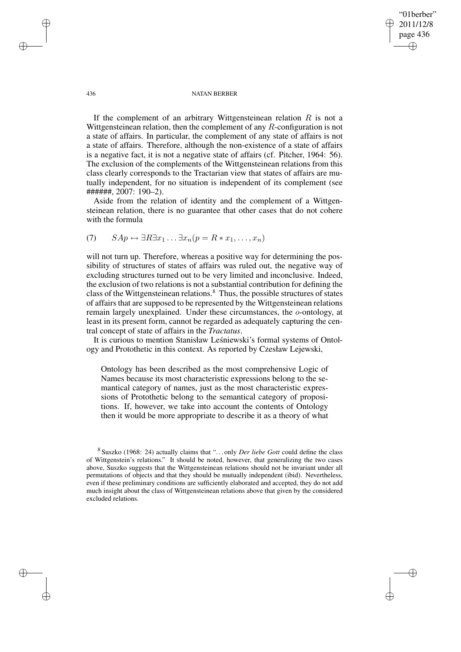"01berber" 2011/12/8 page 436 ✐ ✐

✐

✐

#### 436 NATAN BERBER

If the complement of an arbitrary Wittgensteinean relation  $R$  is not a Wittgensteinean relation, then the complement of any R-configuration is not a state of affairs. In particular, the complement of any state of affairs is not a state of affairs. Therefore, although the non-existence of a state of affairs is a negative fact, it is not a negative state of affairs (cf. Pitcher, 1964: 56). The exclusion of the complements of the Wittgensteinean relations from this class clearly corresponds to the Tractarian view that states of affairs are mutually independent, for no situation is independent of its complement (see ######, 2007: 190–2).

Aside from the relation of identity and the complement of a Wittgensteinean relation, there is no guarantee that other cases that do not cohere with the formula

$$
(7) \qquad SAp \leftrightarrow \exists R \exists x_1 \dots \exists x_n (p = R * x_1, \dots, x_n)
$$

will not turn up. Therefore, whereas a positive way for determining the possibility of structures of states of affairs was ruled out, the negative way of excluding structures turned out to be very limited and inconclusive. Indeed, the exclusion of two relations is not a substantial contribution for defining the class of the Wittgensteinean relations. $8$  Thus, the possible structures of states of affairs that are supposed to be represented by the Wittgensteinean relations remain largely unexplained. Under these circumstances, the o-ontology, at least in its present form, cannot be regarded as adequately capturing the central concept of state of affairs in the *Tractatus*.

It is curious to mention Stanisław Leśniewski's formal systems of Ontology and Protothetic in this context. As reported by Czesław Lejewski,

Ontology has been described as the most comprehensive Logic of Names because its most characteristic expressions belong to the semantical category of names, just as the most characteristic expressions of Protothetic belong to the semantical category of propositions. If, however, we take into account the contents of Ontology then it would be more appropriate to describe it as a theory of what

✐

✐

✐

<sup>8</sup> Suszko (1968: 24) actually claims that ". . . only *Der liebe Gott* could define the class of Wittgenstein's relations." It should be noted, however, that generalizing the two cases above, Suszko suggests that the Wittgensteinean relations should not be invariant under all permutations of objects and that they should be mutually independent (ibid). Nevertheless, even if these preliminary conditions are sufficiently elaborated and accepted, they do not add much insight about the class of Wittgensteinean relations above that given by the considered excluded relations.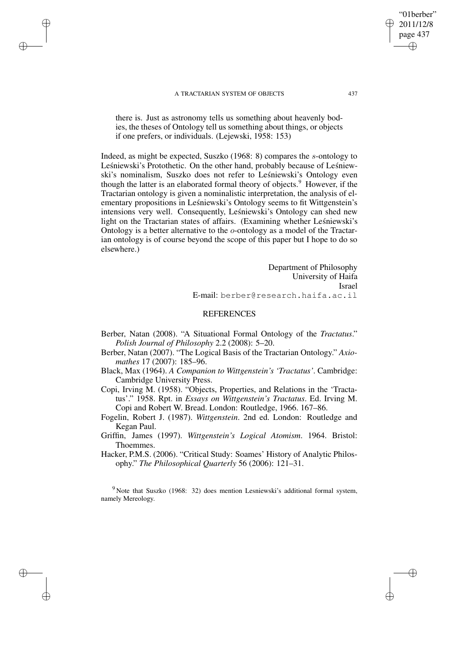✐

✐

✐

✐

there is. Just as astronomy tells us something about heavenly bodies, the theses of Ontology tell us something about things, or objects if one prefers, or individuals. (Lejewski, 1958: 153)

Indeed, as might be expected, Suszko (1968: 8) compares the s-ontology to Leśniewski's Protothetic. On the other hand, probably because of Leśniewski's nominalism, Suszko does not refer to Leśniewski's Ontology even though the latter is an elaborated formal theory of objects.<sup>9</sup> However, if the Tractarian ontology is given a nominalistic interpretation, the analysis of elementary propositions in Leśniewski's Ontology seems to fit Wittgenstein's intensions very well. Consequently, Leśniewski's Ontology can shed new light on the Tractarian states of affairs. (Examining whether Leśniewski's Ontology is a better alternative to the o-ontology as a model of the Tractarian ontology is of course beyond the scope of this paper but I hope to do so elsewhere.)

> Department of Philosophy University of Haifa Israel E-mail: berber@research.haifa.ac.il

# **REFERENCES**

- Berber, Natan (2008). "A Situational Formal Ontology of the *Tractatus*." *Polish Journal of Philosophy* 2.2 (2008): 5–20.
- Berber, Natan (2007). "The Logical Basis of the Tractarian Ontology." *Axiomathes* 17 (2007): 185–96.
- Black, Max (1964). *A Companion to Wittgenstein's 'Tractatus'*. Cambridge: Cambridge University Press.

Copi, Irving M. (1958). "Objects, Properties, and Relations in the 'Tractatus'." 1958. Rpt. in *Essays on Wittgenstein's Tractatus*. Ed. Irving M. Copi and Robert W. Bread. London: Routledge, 1966. 167–86.

- Fogelin, Robert J. (1987). *Wittgenstein*. 2nd ed. London: Routledge and Kegan Paul.
- Griffin, James (1997). *Wittgenstein's Logical Atomism*. 1964. Bristol: Thoemmes.

Hacker, P.M.S. (2006). "Critical Study: Soames' History of Analytic Philosophy." *The Philosophical Quarterly* 56 (2006): 121–31.

<sup>9</sup> Note that Suszko (1968: 32) does mention Lesniewski's additional formal system, namely Mereology.

"01berber" 2011/12/8 page 437

✐

✐

✐